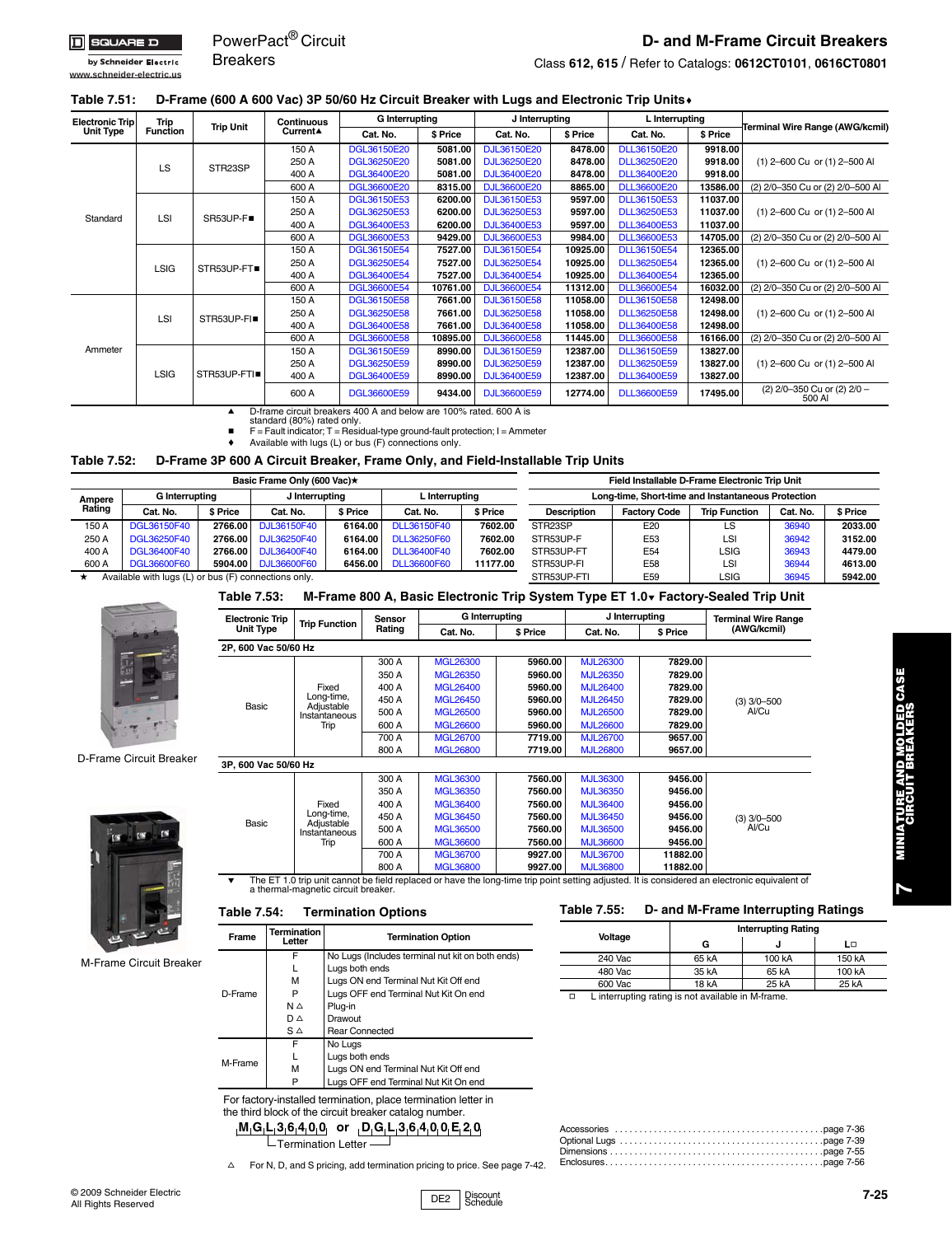**www.schneider-electric.us**

by Schneider Electric

PowerPact® Circuit **Breakers** 

## **D- and M-Frame Circuit Breakers**

Class **612, 615** / Refer to Catalogs: **[0612CT0101](http://www.schneider-electric.us/support/product-support-resources/technical-library/?event=locator&dn=0612CT0101)**, **[0616CT0801](http://www.schneider-electric.us/support/product-support-resources/technical-library/?event=locator&dn=0616CT0801)**

### **Table 7.51: D-Frame (600 A 600 Vac) 3P 50/60 Hz Circuit Breaker with Lugs and Electronic Trip Units**c

| <b>Electronic Trip</b> | Trip            | <b>Trip Unit</b> | Continuous | <b>G</b> Interrupting |          | J Interrupting     |          | L Interrupting     |          |                                       |
|------------------------|-----------------|------------------|------------|-----------------------|----------|--------------------|----------|--------------------|----------|---------------------------------------|
| <b>Unit Type</b>       | <b>Function</b> |                  | Current▲   | Cat. No.              | \$ Price | Cat. No.           | \$ Price | Cat. No.           | \$ Price | Terminal Wire Range (AWG/kcmil)       |
|                        |                 |                  | 150 A      | DGL36150E20           | 5081.00  | DJL36150E20        | 8478.00  | DLL36150E20        | 9918.00  |                                       |
|                        | LS              | STR23SP          | 250 A      | DGL36250E20           | 5081.00  | DJL36250E20        | 8478.00  | <b>DLL36250E20</b> | 9918.00  | (1) 2-600 Cu or (1) 2-500 Al          |
|                        |                 |                  | 400 A      | DGL36400E20           | 5081.00  | DJL36400E20        | 8478.00  | <b>DLL36400E20</b> | 9918.00  |                                       |
|                        |                 |                  | 600 A      | DGL36600E20           | 8315.00  | <b>DJL36600E20</b> | 8865.00  | <b>DLL36600E20</b> | 13586.00 | (2) 2/0-350 Cu or (2) 2/0-500 Al      |
|                        |                 |                  | 150 A      | DGL36150E53           | 6200.00  | <b>DJL36150E53</b> | 9597.00  | <b>DLL36150E53</b> | 11037.00 |                                       |
| Standard               | LSI             | SR53UP-F■        | 250 A      | DGL36250E53           | 6200.00  | DJL36250E53        | 9597.00  | <b>DLL36250E53</b> | 11037.00 | (1) 2-600 Cu or (1) 2-500 Al          |
|                        |                 |                  | 400 A      | DGL36400E53           | 6200.00  | DJL36400E53        | 9597.00  | DLL36400E53        | 11037.00 |                                       |
|                        |                 |                  | 600 A      | DGL36600E53           | 9429.00  | <b>DJL36600E53</b> | 9984.00  | <b>DLL36600E53</b> | 14705.00 | (2) 2/0-350 Cu or (2) 2/0-500 Al      |
|                        |                 |                  | 150 A      | DGL36150E54           | 7527.00  | DJL36150E54        | 10925.00 | DLL36150E54        | 12365.00 |                                       |
|                        | <b>LSIG</b>     | STR53UP-FT       | 250 A      | DGL36250E54           | 7527.00  | DJL36250E54        | 10925.00 | DLL36250E54        | 12365.00 | (1) 2-600 Cu or (1) 2-500 Al          |
|                        |                 |                  | 400 A      | DGL36400E54           | 7527.00  | DJL36400E54        | 10925.00 | DLL36400E54        | 12365.00 |                                       |
|                        |                 |                  | 600 A      | DGL36600E54           | 10761.00 | DJL36600E54        | 11312.00 | DLL36600E54        | 16032.00 | (2) 2/0-350 Cu or (2) 2/0-500 Al      |
|                        |                 |                  | 150 A      | DGL36150E58           | 7661.00  | DJL36150E58        | 11058.00 | <b>DLL36150E58</b> | 12498.00 |                                       |
|                        | LSI             | STR53UP-FI■      | 250 A      | DGL36250E58           | 7661.00  | <b>DJL36250E58</b> | 11058.00 | <b>DLL36250E58</b> | 12498.00 | (1) 2-600 Cu or (1) 2-500 Al          |
|                        |                 |                  | 400 A      | DGL36400E58           | 7661.00  | <b>DJL36400E58</b> | 11058.00 | <b>DLL36400E58</b> | 12498.00 |                                       |
|                        |                 |                  | 600 A      | DGL36600E58           | 10895.00 | DJL36600E58        | 11445.00 | <b>DLL36600E58</b> | 16166.00 | (2) 2/0-350 Cu or (2) 2/0-500 Al      |
| Ammeter                |                 |                  | 150 A      | DGL36150E59           | 8990.00  | DJL36150E59        | 12387.00 | <b>DLL36150E59</b> | 13827.00 |                                       |
|                        |                 |                  | 250 A      | DGL36250E59           | 8990.00  | DJL36250E59        | 12387.00 | <b>DLL36250E59</b> | 13827.00 | (1) 2-600 Cu or (1) 2-500 Al          |
|                        | <b>LSIG</b>     | STR53UP-FTI      | 400 A      | DGL36400E59           | 8990.00  | DJL36400E59        | 12387.00 | DLL36400E59        | 13827.00 |                                       |
|                        |                 |                  | 600 A      | DGL36600E59           | 9434.00  | DJL36600E59        | 12774.00 | <b>DLL36600E59</b> | 17495.00 | (2) 2/0-350 Cu or (2) 2/0 -<br>500 AI |

■ D-frame circuit breakers 400 A and below are 100% rated. 600 A is<br>standard (80%) rated only.<br>F = Fault indicator; T = Residual-type ground-fault protection; I = Ammeter

Available with lugs (L) or bus (F) connections only.

#### **Table 7.52: D-Frame 3P 600 A Circuit Breaker, Frame Only, and Field-Installable Trip Units**

|                                                              |                                                      |          | Basic Frame Only (600 Vac)★ |          | Field Installable D-Frame Electronic Trip Unit |          |                                                    |                     |                      |               |                |  |
|--------------------------------------------------------------|------------------------------------------------------|----------|-----------------------------|----------|------------------------------------------------|----------|----------------------------------------------------|---------------------|----------------------|---------------|----------------|--|
| G Interrupting<br>L Interrupting<br>J Interrupting<br>Ampere |                                                      |          |                             |          |                                                |          | Long-time, Short-time and Instantaneous Protection |                     |                      |               |                |  |
| Rating                                                       | Cat. No.                                             | \$ Price | Cat. No.                    | \$ Price | Cat. No.                                       | \$ Price | <b>Description</b>                                 | <b>Factory Code</b> | <b>Trip Function</b> | Cat. No.      | \$ Price       |  |
| 150 A                                                        | DGL36150F40                                          | 2766.00  | DJL36150F40                 | 6164.00  | DLL36150F40                                    | 7602.00  | STR23SP                                            | E20                 | LS                   | 36940         | 2033.00        |  |
| 250 A                                                        | DGL36250F40                                          | 2766.00  | DJL36250F40                 | 6164.00  | DLL36250F60                                    | 7602.00  | STR53UP-F                                          | E53                 | LS!                  | 36942         | 3152.00        |  |
| 400 A                                                        | DGL36400F40                                          | 2766.00  | DJL36400F40                 | 6164.00  | DLL36400F40                                    | 7602.00  | STR53UP-FT                                         | E54                 | LSIG                 | 36943         | 4479.00        |  |
| 600 A                                                        | <b>DGL36600F60</b>                                   | 5904.00  | <b>DJL36600F60</b>          | 6456.00  | <b>DLL36600F60</b>                             | 11177.00 | STR53UP-FI                                         | E58                 | LS!                  | 36944         | 4613.00        |  |
|                                                              | Available with line (L) as bus (E) associations ashe |          |                             |          |                                                |          | CTDEOLID ETH                                       | <b>FFO</b>          | $\sim$               | <b>DOO AF</b> | <b>EQ40.00</b> |  |

with lugs (L) or bus (F) conne

D-Frame Circuit Breaker

M-Frame Circuit Breaker

# **Table 7.53: M-Frame 800 A, Basic Electronic Trip System Type ET 1.0**e **Factory-Sealed Trip Unit**

| <b>Electronic Trip</b> | <b>Trip Function</b>        | Sensor | <b>G</b> Interrupting |          | J Interrupting  |          | <b>Terminal Wire Range</b> |
|------------------------|-----------------------------|--------|-----------------------|----------|-----------------|----------|----------------------------|
| <b>Unit Type</b>       |                             | Rating | Cat. No.              | \$ Price | Cat. No.        | \$ Price | (AWG/kcmil)                |
| 2P. 600 Vac 50/60 Hz   |                             |        |                       |          |                 |          |                            |
|                        |                             | 300 A  | <b>MGL26300</b>       | 5960.00  | <b>MJL26300</b> | 7829.00  |                            |
|                        |                             | 350 A  | <b>MGL26350</b>       | 5960.00  | <b>MJL26350</b> | 7829.00  |                            |
|                        | Fixed                       | 400 A  | <b>MGL26400</b>       | 5960.00  | <b>MJL26400</b> | 7829.00  |                            |
| Basic                  | Long-time,                  | 450 A  | <b>MGL26450</b>       | 5960.00  | <b>MJL26450</b> | 7829.00  | $(3)$ 3/0-500              |
|                        | Adjustable<br>Instantaneous | 500 A  | <b>MGL26500</b>       | 5960.00  | <b>MJL26500</b> | 7829.00  | Al/Cu                      |
|                        | Trip                        | 600 A  | <b>MGL26600</b>       | 5960.00  | <b>MJL26600</b> | 7829.00  |                            |
|                        |                             | 700 A  | <b>MGL26700</b>       | 7719.00  | <b>MJL26700</b> | 9657.00  |                            |
|                        |                             | 800 A  | <b>MGL26800</b>       | 7719.00  | <b>MJL26800</b> | 9657.00  |                            |
| 3P. 600 Vac 50/60 Hz   |                             |        |                       |          |                 |          |                            |
|                        |                             | 300 A  | <b>MGL36300</b>       | 7560.00  | <b>MJL36300</b> | 9456.00  |                            |
|                        |                             | 350 A  | <b>MGL36350</b>       | 7560.00  | <b>MJL36350</b> | 9456.00  |                            |
|                        | Fixed                       | 400 A  | <b>MGL36400</b>       | 7560.00  | <b>MJL36400</b> | 9456.00  |                            |
| Basic                  | Long-time,<br>Adjustable    | 450 A  | <b>MGL36450</b>       | 7560.00  | <b>MJL36450</b> | 9456.00  | $(3)$ 3/0-500              |
|                        | Instantaneous               | 500 A  | <b>MGL36500</b>       | 7560.00  | <b>MJL36500</b> | 9456.00  | Al/Cu                      |



600 A [MGL36600](http://www.schneider-electric.us/products-services/product-detail/?event=productDetail&countryCode=us&partNumber=MGL36600) **7560.00** [MJL36600](http://www.schneider-electric.us/products-services/product-detail/?event=productDetail&countryCode=us&partNumber=MJL36600) **9456.00**

#### **Table 7.54: Termination Options**

Trip

| Frame   | Termination<br>Letter | <b>Termination Option</b>                        |  |  |  |  |  |  |
|---------|-----------------------|--------------------------------------------------|--|--|--|--|--|--|
|         | F                     | No Lugs (Includes terminal nut kit on both ends) |  |  |  |  |  |  |
|         |                       | Lugs both ends                                   |  |  |  |  |  |  |
|         | м                     | Lugs ON end Terminal Nut Kit Off end             |  |  |  |  |  |  |
| D-Frame |                       | Lugs OFF end Terminal Nut Kit On end             |  |  |  |  |  |  |
|         | $N \triangle$         | Plug-in                                          |  |  |  |  |  |  |
|         | DΔ                    | Drawout                                          |  |  |  |  |  |  |
|         | $S \triangle$         | <b>Rear Connected</b>                            |  |  |  |  |  |  |
|         | F                     | No Lugs                                          |  |  |  |  |  |  |
| M-Frame |                       | Lugs both ends                                   |  |  |  |  |  |  |
|         | м                     | Lugs ON end Terminal Nut Kit Off end             |  |  |  |  |  |  |
|         | Р                     | Lugs OFF end Terminal Nut Kit On end             |  |  |  |  |  |  |

For factory-installed termination, place termination letter in the third block of the circuit breaker catalog number.

**M G L 3 6 4 0 0 or D G L 3 6 4 0 0 E 2 0** 

**L**Termination Letter -

 $\triangle$  For N, D, and S pricing, add termination pricing to price. See page 7-42.

**Table 7.55: D- and M-Frame Interrupting Ratings Voltage Interrupting Rating**

> 240 Vac | 65 kA | 100 kA | 150 kA 480 Vac 35 kA 65 kA 100 kA 600 Vac 18 kA 25 kA 25 kA

**G JL**g

g L interrupting rating is not available in M-frame.

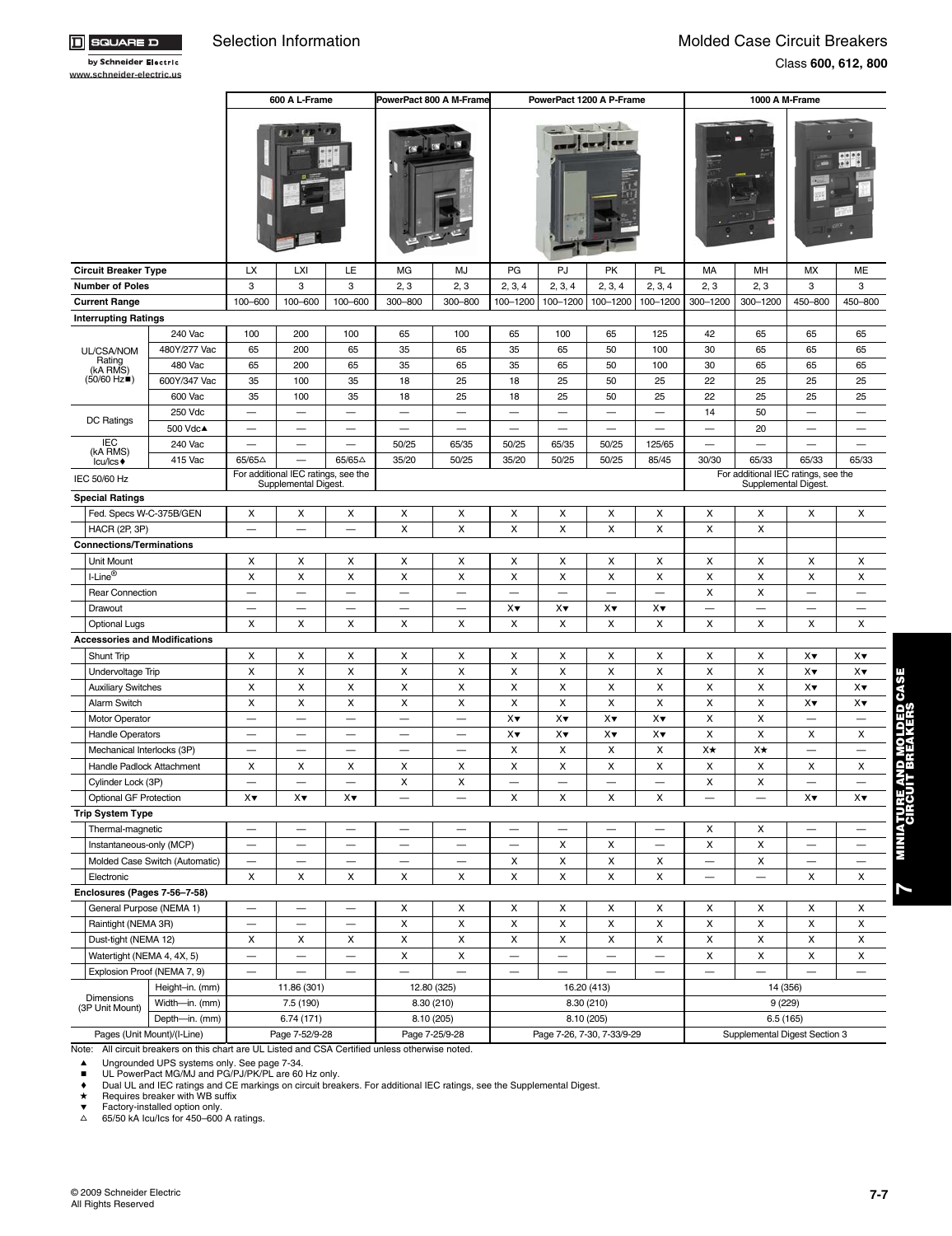ם ∃

 $\boxed{1}$  SQUAR

|                                      |                                |                                | 600 A L-Frame                       |                          | PowerPact 800 A M-Frame  |                                |                           | PowerPact 1200 A P-Frame |                            |                                |                          | 1000 A M-Frame                |                                     |                                        |
|--------------------------------------|--------------------------------|--------------------------------|-------------------------------------|--------------------------|--------------------------|--------------------------------|---------------------------|--------------------------|----------------------------|--------------------------------|--------------------------|-------------------------------|-------------------------------------|----------------------------------------|
|                                      |                                |                                |                                     |                          |                          |                                |                           |                          |                            |                                |                          |                               |                                     |                                        |
| <b>Circuit Breaker Type</b>          |                                | LX                             | <b>LXI</b>                          | LE                       | MG                       | MJ                             | PG                        | PJ                       | PK                         | PL                             | MA                       | MH                            | MX                                  | ME                                     |
| <b>Number of Poles</b>               |                                | 3                              | 3                                   | 3                        | 2, 3                     | 2, 3                           | 2, 3, 4                   | 2, 3, 4                  | 2, 3, 4                    | 2, 3, 4                        | 2, 3                     | 2, 3                          | 3                                   | 3                                      |
| <b>Current Range</b>                 |                                | 100-600                        | 100-600                             | 100-600                  | 300-800                  | 300-800                        | 100-1200                  | 100-1200                 | 100-1200                   | 100-1200                       | 300-1200                 | 300-1200                      | 450-800                             | 450-800                                |
| <b>Interrupting Ratings</b>          |                                |                                |                                     |                          |                          |                                |                           |                          |                            |                                |                          |                               |                                     |                                        |
|                                      | 240 Vac                        | 100                            | 200                                 | 100                      | 65                       | 100                            | 65                        | 100                      | 65                         | 125                            | 42                       | 65                            | 65                                  | 65                                     |
| UL/CSA/NOM<br>Rating                 | 480Y/277 Vac                   | 65                             | 200                                 | 65                       | 35                       | 65                             | 35                        | 65                       | 50                         | 100                            | 30                       | 65                            | 65                                  | 65                                     |
| (kA RMS)                             | 480 Vac                        | 65                             | 200                                 | 65                       | 35                       | 65                             | 35                        | 65                       | 50                         | 100                            | 30                       | 65                            | 65                                  | 65                                     |
| $(50/60$ Hz $\blacksquare$ )         | 600Y/347 Vac                   | 35                             | 100                                 | 35                       | 18                       | 25                             | 18                        | 25                       | 50                         | 25                             | 22                       | 25                            | 25                                  | 25                                     |
|                                      | 600 Vac                        | 35                             | 100                                 | 35                       | 18                       | 25                             | 18                        | 25                       | 50                         | 25                             | 22                       | 25                            | 25                                  | 25                                     |
|                                      | 250 Vdc                        |                                | $\overline{\phantom{0}}$            |                          | —                        |                                |                           | $\overline{\phantom{0}}$ |                            | $\qquad \qquad \longleftarrow$ | 14                       | 50                            |                                     | $\qquad \qquad$                        |
| DC Ratings                           | 500 Vdc▲                       |                                | $\overline{\phantom{0}}$            | $\overline{\phantom{0}}$ | $\overline{\phantom{0}}$ | $\frac{1}{2}$                  | $\overline{\phantom{m}}$  | $\overline{\phantom{0}}$ | $\overline{\phantom{0}}$   | $\overline{\phantom{0}}$       | ـــ                      | 20                            | ے                                   |                                        |
| <b>IEC</b>                           | 240 Vac                        |                                | $\overline{\phantom{0}}$            | —<br>—                   | 50/25                    | 65/35                          | 50/25                     | 65/35                    | 50/25                      | 125/65                         | $\overline{\phantom{0}}$ |                               | $\overline{\phantom{0}}$            | $\overbrace{\phantom{123221111}}$      |
| (kA RMS)<br>lcu/lcs +                | 415 Vac                        | 65/65△                         |                                     | 65/65△                   | 35/20                    | 50/25                          | 35/20                     | 50/25                    | 50/25                      | 85/45                          | 30/30                    | 65/33                         | 65/33                               | 65/33                                  |
| IEC 50/60 Hz                         |                                |                                | For additional IEC ratings, see the |                          |                          |                                |                           |                          |                            |                                |                          |                               | For additional IEC ratings, see the |                                        |
|                                      |                                |                                | Supplemental Digest                 |                          |                          |                                |                           |                          |                            |                                |                          | Supplemental Digest.          |                                     |                                        |
| <b>Special Ratings</b>               |                                |                                |                                     |                          |                          |                                |                           |                          |                            |                                |                          |                               |                                     |                                        |
| Fed. Specs W-C-375B/GEN              |                                | X                              | X                                   | X                        | X                        | X                              | X                         | X                        | X                          | X                              | X                        | X                             | X                                   | X                                      |
| <b>HACR (2P, 3P)</b>                 |                                | $\overline{\phantom{0}}$       |                                     |                          | X                        | X                              | X                         | X                        | X                          | X                              | X                        | X                             |                                     |                                        |
| <b>Connections/Terminations</b>      |                                |                                |                                     |                          |                          |                                |                           |                          |                            |                                |                          |                               |                                     |                                        |
| Unit Mount                           |                                | X                              | X                                   | X                        | X                        | X                              | Χ                         | X                        | X                          | X                              | X                        | X                             | х                                   | X                                      |
| I-Line®                              |                                | X                              | X                                   | X                        | X                        | X                              | X                         | X                        | X                          | X                              | X                        | X                             | X                                   | X                                      |
| <b>Rear Connection</b>               |                                | $\overline{\phantom{0}}$       | $\overline{\phantom{0}}$            |                          | —                        |                                | $\overline{\phantom{0}}$  |                          | $\overline{\phantom{0}}$   |                                | X                        | X                             |                                     |                                        |
| Drawout                              |                                | $\overline{\phantom{0}}$       | -                                   |                          | $\overline{\phantom{0}}$ | $\overline{\phantom{a}}$       | X▼                        | X▼                       | X▼                         | X▼                             | $\overline{\phantom{0}}$ | $\overline{\phantom{0}}$      | $\overline{\phantom{0}}$            | $\overbrace{\phantom{12322111}}$       |
| <b>Optional Lugs</b>                 |                                | X                              | X                                   | X                        | X                        | X                              | X                         | X                        | X                          | X                              | X                        | X                             | X                                   | X                                      |
| <b>Accessories and Modifications</b> |                                |                                |                                     |                          |                          |                                |                           |                          |                            |                                |                          |                               |                                     |                                        |
| Shunt Trip                           |                                | X                              | X                                   | X                        | X                        | х                              | X                         | X                        | X                          | X                              | х                        | х                             | $X\blacktriangledown$               | X▼                                     |
| Undervoltage Trip                    |                                | X                              | X                                   | X                        | X                        | X                              | X                         | X                        | X                          | X                              | X                        | X                             | $X\blacktriangledown$               | $X\blacktriangledown$                  |
| <b>Auxiliary Switches</b>            |                                | X                              | X                                   | X                        | X                        | X                              | X                         | X                        | X                          | X                              | X                        | X                             | X▼                                  | $X\blacktriangledown$                  |
| Alarm Switch                         |                                | X                              | X                                   | X                        | X                        | X                              | X                         | $\pmb{\times}$           | X                          | X                              | X                        | X                             | X▼                                  | X▼                                     |
| <b>Motor Operator</b>                |                                |                                | $\overline{\phantom{0}}$            | $\overline{\phantom{0}}$ |                          | $\overline{\phantom{0}}$       | $X\blacktriangledown$     | X▼                       | X▼                         | X▼                             | X                        | X                             | $\overline{\phantom{0}}$            | —                                      |
| <b>Handle Operators</b>              |                                | $\qquad \qquad \longleftarrow$ | —                                   | $\overline{\phantom{0}}$ |                          | $\qquad \qquad \longleftarrow$ | $X\blacktriangledown$     | X▼                       | $X\blacktriangledown$      | X▼                             | X                        | X                             | X                                   | X                                      |
| Mechanical Interlocks (3P)           |                                | $\overline{\phantom{0}}$       | $\overline{\phantom{0}}$            | $\frac{1}{2}$            | $\overline{\phantom{0}}$ | $\overline{\phantom{a}}$       | X                         | X                        | X                          | X                              | X★                       | X★                            | $\overline{\phantom{0}}$            | $\overline{\phantom{m}}$               |
| Handle Padlock Attachment            |                                | X                              | X                                   | х                        | х                        | х                              | X                         | X                        | X                          | X                              | X                        | X                             | X                                   | E AND MOLDED CASE<br>UIT BREAKERS<br>Χ |
| Cylinder Lock (3P)                   |                                |                                |                                     |                          | X                        | X                              |                           |                          | $\overline{\phantom{0}}$   |                                | X                        | X                             |                                     | $\qquad \qquad -$                      |
| Optional GF Protection               |                                | XY                             | X▼                                  | XV                       |                          |                                | х                         | х                        | х                          | х                              |                          |                               | XV                                  | Χ▼                                     |
| <b>Trip System Type</b>              |                                |                                |                                     |                          |                          |                                |                           |                          |                            |                                |                          |                               |                                     | <b>MINIATURI</b><br>CIRC               |
| Thermal-magnetic                     |                                |                                |                                     |                          |                          |                                |                           |                          |                            |                                | X                        | X                             |                                     |                                        |
| Instantaneous-only (MCP)             |                                | $\overline{\phantom{0}}$       | $\overline{\phantom{0}}$            | $\frac{1}{2}$            |                          | $\overline{\phantom{0}}$       | $\overline{\phantom{m}}$  | X                        | X                          |                                | X                        | $\pmb{\times}$                | د ک                                 | $\qquad \qquad -$                      |
|                                      | Molded Case Switch (Automatic) |                                | $\overline{\phantom{0}}$            | $\overline{\phantom{0}}$ |                          |                                | X                         | X                        | X                          | X                              | $\equiv$                 | X                             | —                                   | $\qquad \qquad -$                      |
| Electronic                           |                                | X                              | X                                   | X                        | X                        | X                              | X                         | X                        | X                          | X                              | —                        | —                             | X                                   | X                                      |
| Enclosures (Pages 7-56-7-58)         |                                |                                |                                     |                          |                          |                                |                           |                          |                            |                                |                          |                               |                                     | Z                                      |
| General Purpose (NEMA 1)             |                                |                                | —                                   | $\overline{\phantom{0}}$ | Х                        | х                              | X                         | x                        | х                          | Х                              | х                        | х                             | х                                   | x                                      |
| Raintight (NEMA 3R)                  |                                | $\qquad \qquad \longleftarrow$ | -                                   |                          | X                        | X                              | X                         | X                        | X                          | X                              | X                        | X                             | X                                   | X                                      |
| Dust-tight (NEMA 12)                 |                                | X                              | X                                   | X                        | X                        | $\pmb{\times}$                 | $\boldsymbol{\mathsf{x}}$ | X                        | X                          | X                              | X                        | X                             | X                                   | X                                      |
| Watertight (NEMA 4, 4X, 5)           |                                |                                |                                     |                          | X                        | $\pmb{\times}$                 |                           |                          | $\overline{\phantom{0}}$   |                                | X                        | X                             | X                                   | X                                      |
| Explosion Proof (NEMA 7, 9)          |                                | $\qquad \qquad -$              |                                     | $\qquad \qquad -$        | $\overline{\phantom{0}}$ | $\overline{\phantom{0}}$       |                           | -                        |                            | $\qquad \qquad \longleftarrow$ | $\frac{1}{2}$            | $\overline{\phantom{0}}$      |                                     | $\overline{\phantom{m}}$               |
|                                      | Height-in. (mm)                |                                | 11.86 (301)                         |                          |                          | 12.80 (325)                    |                           |                          | 16.20 (413)                |                                |                          | 14 (356)                      |                                     |                                        |
| Dimensions                           | Width-in. (mm)                 |                                | 7.5 (190)                           |                          |                          | 8.30 (210)                     |                           |                          | 8.30 (210)                 |                                |                          | 9(229)                        |                                     |                                        |
| (3P Unit Mount)                      | Depth-in. (mm)                 |                                | 6.74(171)                           |                          |                          | 8.10 (205)                     |                           | 8.10 (205)               |                            |                                |                          | 6.5(165)                      |                                     |                                        |
|                                      | Pages (Unit Mount)/(I-Line)    |                                | Page 7-52/9-28                      |                          |                          | Page 7-25/9-28                 |                           |                          | Page 7-26, 7-30, 7-33/9-29 |                                |                          | Supplemental Digest Section 3 |                                     |                                        |

Note: All circuit breakers on this chart are UL Listed and CSA Certified unless otherwise noted.

▲ Ungrounded UPS systems only. See page 7-34.<br>■ UL PowerPact MG/MJ and PG/PJ/PK/PL are 60 Hz only.<br>♦ Dual UL and IEC ratings and CE markings on circuit breakers. For additional IEC ratings, see the Supplemental Digest.<br>★

▼ Factory-installed option only.<br>△ 65/50 kA Icu/Ics for 450–600 A ratings.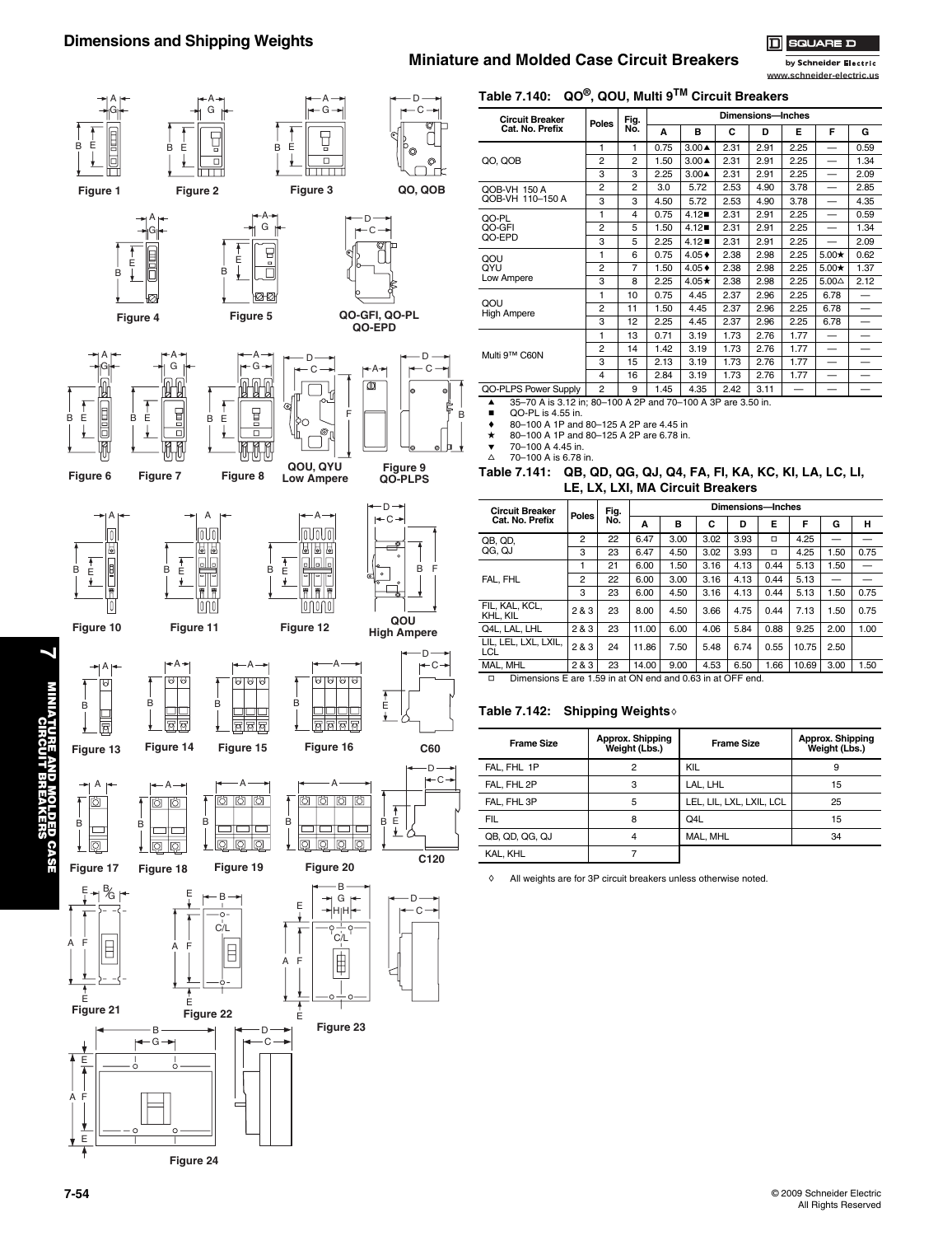## **Miniature and Molded Case Circuit Breakers**

**Table 7.140: QO®, QOU, Multi 9TM Circuit Breakers**

o ים וה





| <b>Circuit Breaker</b>    |                | Fig.           | Dimensions-Inches |                     |      |      |      |                 |      |  |
|---------------------------|----------------|----------------|-------------------|---------------------|------|------|------|-----------------|------|--|
| Cat. No. Prefix           | <b>Poles</b>   | No.            | A                 | B                   | C    | D    | Е    | F               | G    |  |
|                           | 1              | 1              | 0.75              | $3.00 \triangle$    | 2.31 | 2.91 | 2.25 | —               | 0.59 |  |
| QO, QOB                   | $\overline{2}$ | $\overline{2}$ | 1.50              | $3.00 \triangle$    | 2.31 | 2.91 | 2.25 |                 | 1.34 |  |
|                           | 3              | 3              | 2.25              | $3.00 \triangle$    | 2.31 | 2.91 | 2.25 |                 | 2.09 |  |
| QOB-VH 150 A              | $\overline{2}$ | $\overline{2}$ | 3.0               | 5.72                | 2.53 | 4.90 | 3.78 |                 | 2.85 |  |
| QOB-VH 110-150 A          | 3              | 3              | 4.50              | 5.72                | 2.53 | 4.90 | 3.78 |                 | 4.35 |  |
| QO-PL                     | 1              | 4              | 0.75              | 4.12                | 2.31 | 2.91 | 2.25 |                 | 0.59 |  |
| QO-GFI                    | 2              | 5              | 1.50              | 4.12                | 2.31 | 2.91 | 2.25 |                 | 1.34 |  |
| QO-EPD                    | 3              | 5              | 2.25              | $4.12 \blacksquare$ | 2.31 | 2.91 | 2.25 |                 | 2.09 |  |
| QOU                       | 1              | 6              | 0.75              | $4.05 +$            | 2.38 | 2.98 | 2.25 | $5.00\star$     | 0.62 |  |
| QYU                       | $\overline{2}$ | $\overline{7}$ | 1.50              | $4.05 +$            | 2.38 | 2.98 | 2.25 | $5.00\star$     | 1.37 |  |
| Low Ampere                | 3              | 8              | 2.25              | $4.05\star$         | 2.38 | 2.98 | 2.25 | $5.00\triangle$ | 2.12 |  |
|                           | 1              | 10             | 0.75              | 4.45                | 2.37 | 2.96 | 2.25 | 6.78            |      |  |
| QOU<br><b>High Ampere</b> | $\overline{2}$ | 11             | 1.50              | 4.45                | 2.37 | 2.96 | 2.25 | 6.78            |      |  |
|                           | 3              | 12             | 2.25              | 4.45                | 2.37 | 2.96 | 2.25 | 6.78            |      |  |
|                           | 1              | 13             | 0.71              | 3.19                | 1.73 | 2.76 | 1.77 |                 |      |  |
| Multi 9™ C60N             | 2              | 14             | 1.42              | 3.19                | 1.73 | 2.76 | 1.77 |                 |      |  |
|                           | 3              | 15             | 2.13              | 3.19                | 1.73 | 2.76 | 1.77 |                 |      |  |
|                           | 4              | 16             | 2.84              | 3.19                | 1.73 | 2.76 | 1.77 |                 |      |  |
| QO-PLPS Power Supply      | $\overline{2}$ | 9              | 1.45              | 4.35                | 2.42 | 3.11 |      |                 |      |  |

a 35–70 A is 3.12 in; 80–100 A 2P and 70–100 A 3P are 3.50 in. b QO-PL is 4.55 in.

 $\begin{array}{ll}\n\text{▶} & 80-100 \text{ A } 1 \text{ P and } 80-125 \text{ A } 2 \text{ P are } 4.45 \text{ in} \\
\text{★} & 80-100 \text{ A } 1 \text{ P and } 80-125 \text{ A } 2 \text{ P are } 6.78 \text{ in}\n\end{array}$ 

 $\star$  80–100 A 1P and 80–125 A 2P are 6.78 in.<br>  $\bullet$  70–100 A 4.45 in.

 $\triangle$  70–100 A is 6.78 in.

B

**Table 7.141: QB, QD, QG, QJ, Q4, FA, FI, KA, KC, KI, LA, LC, LI, LE, LX, LXI, MA Circuit Breakers**

| <b>Circuit Breaker</b>                                               | Poles          | Fig. |       |      |      | Dimensions-Inches |      |       |      |      |
|----------------------------------------------------------------------|----------------|------|-------|------|------|-------------------|------|-------|------|------|
| Cat. No. Prefix                                                      |                | No.  | A     | B    | C    | D                 | E    | F     | G    | н    |
| QB, QD.                                                              | $\overline{2}$ | 22   | 6.47  | 3.00 | 3.02 | 3.93              | □    | 4.25  |      |      |
| QG. QJ                                                               | 3              | 23   | 6.47  | 4.50 | 3.02 | 3.93              | □    | 4.25  | 1.50 | 0.75 |
|                                                                      |                | 21   | 6.00  | 1.50 | 3.16 | 4.13              | 0.44 | 5.13  | 1.50 |      |
| FAL. FHL                                                             | $\overline{2}$ | 22   | 6.00  | 3.00 | 3.16 | 4.13              | 0.44 | 5.13  |      |      |
|                                                                      | 3              | 23   | 6.00  | 4.50 | 3.16 | 4.13              | 0.44 | 5.13  | 1.50 | 0.75 |
| FIL. KAL. KCL.<br>KHL. KIL                                           | 2 & 3          | 23   | 8.00  | 4.50 | 3.66 | 4.75              | 0.44 | 7.13  | 1.50 | 0.75 |
| Q4L. LAL. LHL                                                        | 283            | 23   | 11.00 | 6.00 | 4.06 | 5.84              | 0.88 | 9.25  | 2.00 | 1.00 |
| LIL. LEL. LXL. LXIL.<br>LCL                                          | 283            | 24   | 11.86 | 7.50 | 5.48 | 6.74              | 0.55 | 10.75 | 2.50 |      |
| MAL. MHL                                                             | 283            | 23   | 14.00 | 9.00 | 4.53 | 6.50              | 1.66 | 10.69 | 3.00 | 1.50 |
| Dimensions E are 1.59 in at ON end and 0.63 in at OFF end.<br>$\Box$ |                |      |       |      |      |                   |      |       |      |      |

### **Table 7.142: Shipping Weights**

| <b>Frame Size</b> | Approx. Shipping<br>Weight (Lbs.) | <b>Frame Size</b>        | Approx. Shipping<br>Weight (Lbs.) |
|-------------------|-----------------------------------|--------------------------|-----------------------------------|
| FAL. FHL 1P       | 2                                 | KIL                      | 9                                 |
| FAL. FHL 2P       | 3                                 | LAL. LHL                 | 15                                |
| FAL. FHL 3P       | 5                                 | LEL, LIL, LXL, LXIL, LCL | 25                                |
| FIL               | 8                                 | Q4L                      | 15                                |
| QB, QD, QG, QJ    | 4                                 | MAL, MHL                 | 34                                |
| KAL. KHL          |                                   |                          |                                   |

 $\Diamond$  All weights are for 3P circuit breakers unless otherwise noted.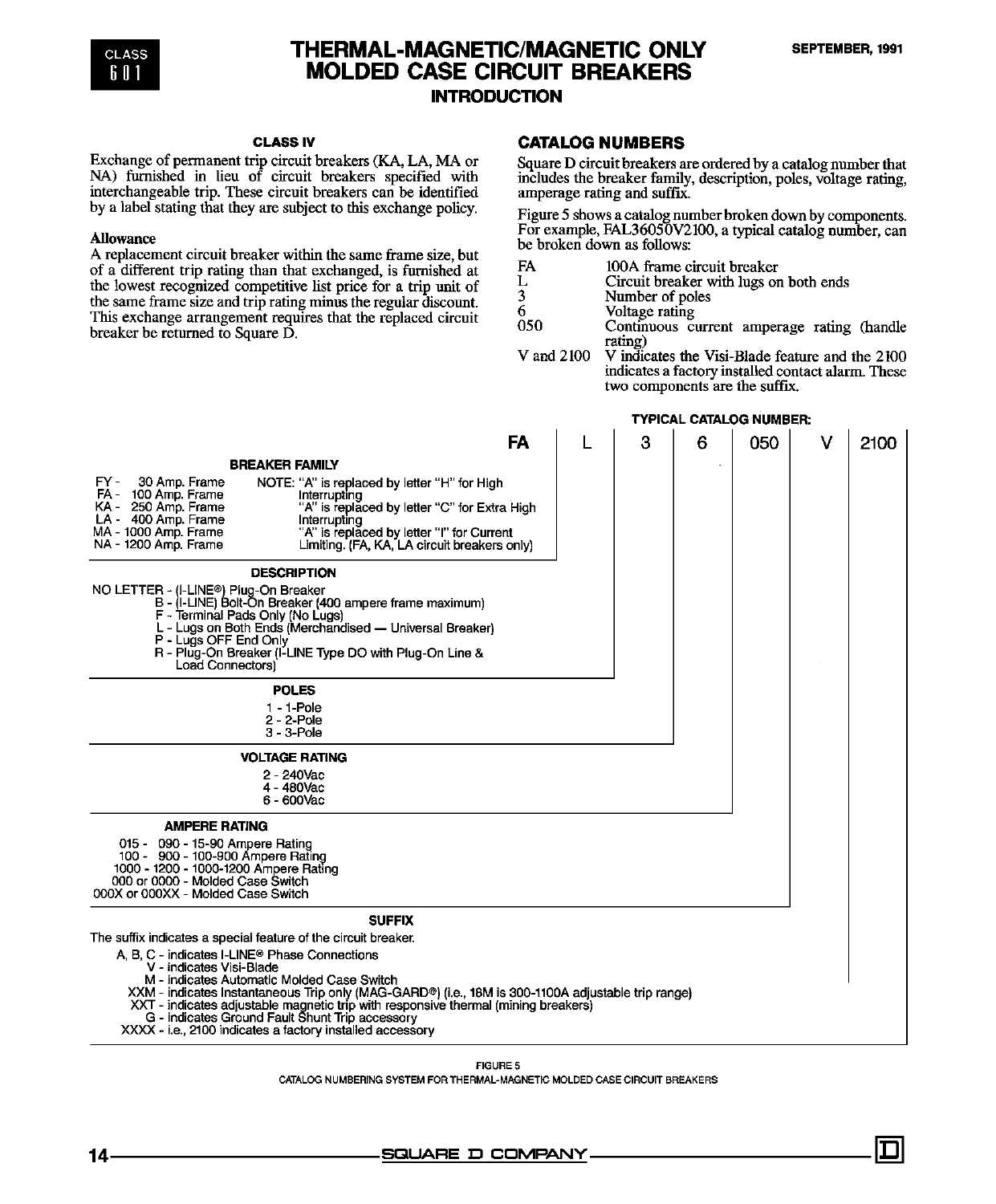

## THERMAL-MAGNETIC/MAGNETIC ONLY **MOLDED CASE CIRCUIT BREAKERS INTRODUCTION**

# **CLASS IV**

Exchange of permanent trip circuit breakers (KA, LA, MA or NA) furnished in lieu of circuit breakers specified with interchangeable trip. These circuit breakers can be identified by a label stating that they are subject to this exchange policy.

### **Allowance**

A replacement circuit breaker within the same frame size, but of a different trip rating than that exchanged, is furnished at the lowest recognized competitive list price for a trip unit of the same frame size and trip rating minus the regular discount. This exchange arrangement requires that the replaced circuit breaker be returned to Square D.

## **CATALOG NUMBERS**

Square D circuit breakers are ordered by a catalog number that includes the breaker family, description, poles, voltage rating, amperage rating and suffix.

Figure 5 shows a catalog number broken down by components. For example, FAL36050V2100, a typical catalog number, can be broken down as follows:

- **FA** 100A frame circuit breaker
- L Circuit breaker with lugs on both ends
- 3 Number of poles
- 6 Voltage rating
- 050 Continuous current amperage rating (handle rating)
- V and 2100 V indicates the Visi-Blade feature and the 2100 indicates a factory installed contact alarm. These two components are the suffix.

**TYPICAL CATALOG NUMBER:** 

| FA                                                                                                                                                                                                                                                                                                                                                                                                                                                                                                    | L | 3 | 6 | 050 | v | 2100 |
|-------------------------------------------------------------------------------------------------------------------------------------------------------------------------------------------------------------------------------------------------------------------------------------------------------------------------------------------------------------------------------------------------------------------------------------------------------------------------------------------------------|---|---|---|-----|---|------|
| <b>BREAKER FAMILY</b><br>FY -<br>30 Amp. Frame<br>NOTE: "A" is replaced by letter "H" for High<br>FA- 100 Amp. Frame<br>Interrupting<br>KA - 250 Amp. Frame<br>"A" is replaced by letter "C" for Extra High<br>LA - 400 Amp. Frame<br>Interrupting<br>MA - 1000 Amp. Frame<br>"A" is replaced by letter "I" for Current<br>NA - 1200 Amp. Frame<br>Limiting. (FA, KA, LA circuit breakers only)                                                                                                       |   |   |   |     |   |      |
| <b>DESCRIPTION</b><br>NO LETTER - (I-LINE®) Plug-On Breaker<br>B - (I-LINE) Bolt-On Breaker (400 ampere frame maximum)<br>F - Terminal Pads Only (No Lugs)<br>L - Lugs on Both Ends (Merchandised — Universal Breaker)<br>P - Lugs OFF End Only<br>R - Plug-On Breaker (I-LINE Type DO with Plug-On Line &<br>Load Connectors)                                                                                                                                                                        |   |   |   |     |   |      |
| <b>POLES</b><br>1 - 1-Pole<br>$2 - 2$ -Pole<br>$3 - 3 -$ Pole                                                                                                                                                                                                                                                                                                                                                                                                                                         |   |   |   |     |   |      |
| <b>VOLTAGE RATING</b><br>2 - 240Vac<br>4 - 480Vac<br>$6 - 600$ Vac                                                                                                                                                                                                                                                                                                                                                                                                                                    |   |   |   |     |   |      |
| <b>AMPERE RATING</b><br>015 - 090 - 15-90 Ampere Rating<br>100 - 900 - 100-900 Ampere Rating<br>1000 - 1200 - 1000-1200 Ampere Rating<br>000 or 0000 - Molded Case Switch<br>000X or 000XX - Molded Case Switch                                                                                                                                                                                                                                                                                       |   |   |   |     |   |      |
| <b>SUFFIX</b>                                                                                                                                                                                                                                                                                                                                                                                                                                                                                         |   |   |   |     |   |      |
| The suffix indicates a special feature of the circuit breaker.<br>A, B, C - indicates I-LINE® Phase Connections<br>V - indicates Visi-Blade<br>M - indicates Automatic Molded Case Switch<br>XXM - indicates Instantaneous Trip only (MAG-GARD®) (i.e., 18M is 300-1100A adjustable trip range)<br>XXT - indicates adjustable magnetic trip with responsive thermal (mining breakers)<br>G - indicates Ground Fault Shunt Trip accessory<br>XXXX - i.e., 2100 indicates a factory installed accessory |   |   |   |     |   |      |

FIGURE 5

CATALOG NUMBERING SYSTEM FOR THERMAL-MAGNETIC MOLDED CASE CIRCUIT BREAKERS

## SQUARE D COMPANY.

14